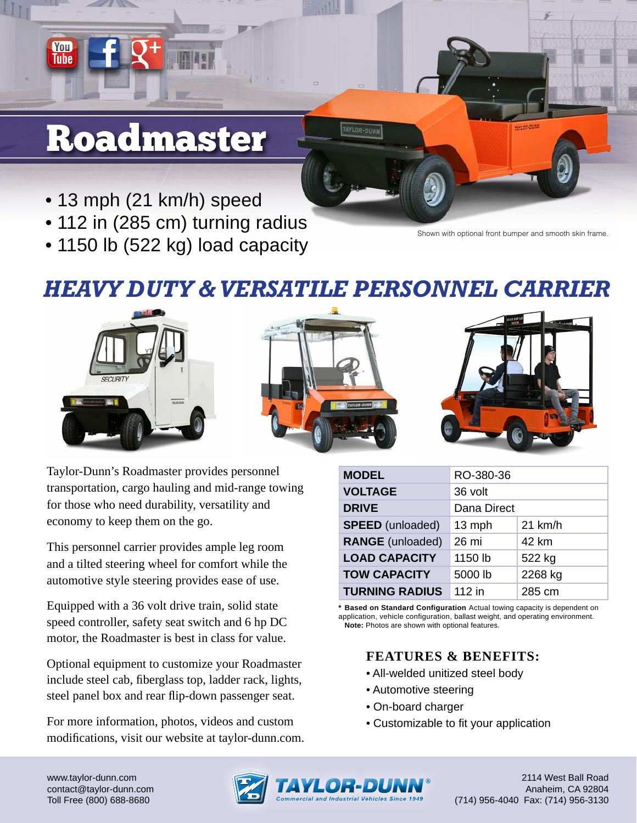## Roadmaster

You Tuhe

- 13 mph (21 km/h) speed
- 112 in (285 cm) turning radius
- 1150 lb (522 kg) load capacity

Shown with optional front bumper and smooth skin frame.

## *HEAVY DUTY & VERSATILE PERSONNEL CARRIER*







Taylor-Dunn's Roadmaster provides personnel transportation, cargo hauling and mid-range towing for those who need durability, versatility and economy to keep them on the go.

This personnel carrier provides ample leg room and a tilted steering wheel for comfort while the automotive style steering provides ease of use.

Equipped with a 36 volt drive train, solid state speed controller, safety seat switch and 6 hp DC motor, the Roadmaster is best in class for value.

Optional equipment to customize your Roadmaster include steel cab, fiberglass top, ladder rack, lights, steel panel box and rear flip-down passenger seat.

For more information, photos, videos and custom modifications, visit our website at taylor-dunn.com.

| <b>MODEL</b>            | RO-380-36   |           |
|-------------------------|-------------|-----------|
| <b>VOLTAGE</b>          | 36 volt     |           |
| <b>DRIVE</b>            | Dana Direct |           |
| <b>SPEED</b> (unloaded) | 13 mph      | $21$ km/h |
| <b>RANGE</b> (unloaded) | 26 mi       | 42 km     |
| <b>LOAD CAPACITY</b>    | 1150 lb     | 522 kg    |
| <b>TOW CAPACITY</b>     | 5000 lb     | 2268 kg   |
| <b>TURNING RADIUS</b>   | 112 in      | 285 cm    |

**\* Based on Standard Configuration** Actual towing capacity is dependent on application, vehicle configuration, ballast weight, and operating environment. **Note:** Photos are shown with optional features.

## **FEATURES & BENEFITS:**

- All-welded unitized steel body
- Automotive steering
- On-board charger
- Customizable to fit your application

www.taylor-dunn.com contact@taylor-dunn.com Toll Free (800) 688-8680



2114 West Ball Road Anaheim, CA 92804 (714) 956-4040 Fax: (714) 956-3130